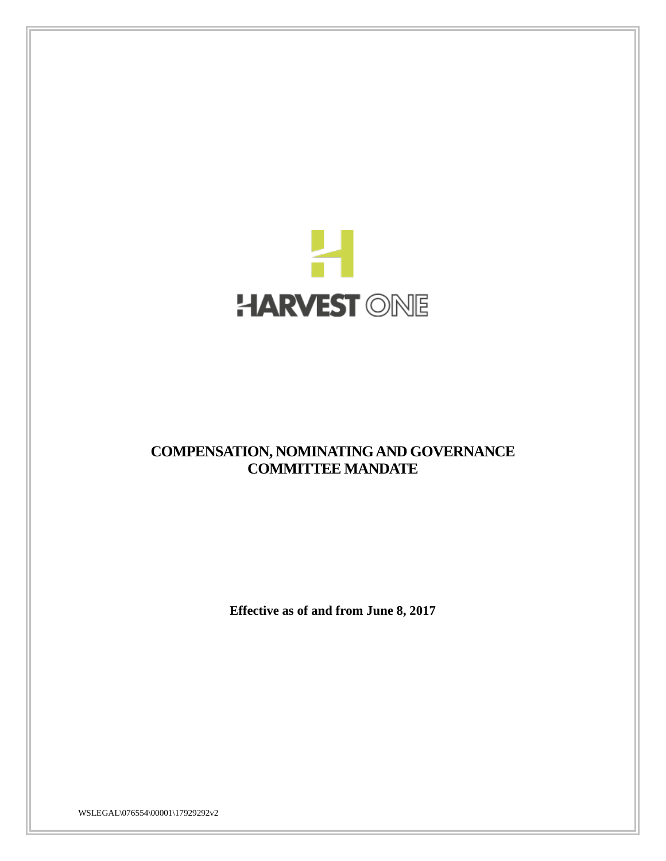

# **COMPENSATION, NOMINATING AND GOVERNANCE COMMITTEE MANDATE**

**Effective as of and from June 8, 2017**

WSLEGAL\076554\00001\17929292v2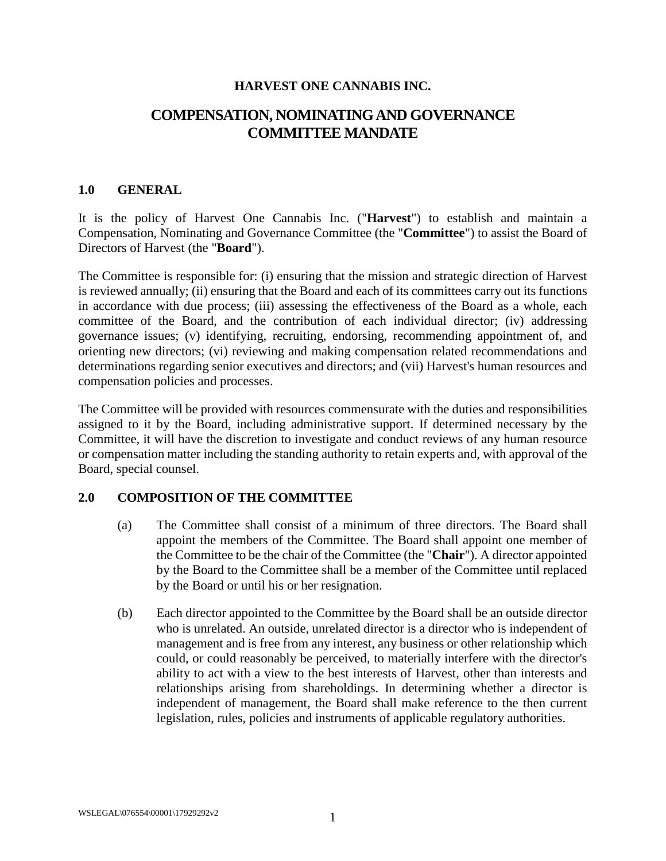#### **HARVEST ONE CANNABIS INC.**

# **COMPENSATION, NOMINATING AND GOVERNANCE COMMITTEE MANDATE**

#### **1.0 GENERAL**

It is the policy of Harvest One Cannabis Inc. ("**Harvest**") to establish and maintain a Compensation, Nominating and Governance Committee (the "**Committee**") to assist the Board of Directors of Harvest (the "**Board**").

The Committee is responsible for: (i) ensuring that the mission and strategic direction of Harvest is reviewed annually; (ii) ensuring that the Board and each of its committees carry out its functions in accordance with due process; (iii) assessing the effectiveness of the Board as a whole, each committee of the Board, and the contribution of each individual director; (iv) addressing governance issues; (v) identifying, recruiting, endorsing, recommending appointment of, and orienting new directors; (vi) reviewing and making compensation related recommendations and determinations regarding senior executives and directors; and (vii) Harvest's human resources and compensation policies and processes.

The Committee will be provided with resources commensurate with the duties and responsibilities assigned to it by the Board, including administrative support. If determined necessary by the Committee, it will have the discretion to investigate and conduct reviews of any human resource or compensation matter including the standing authority to retain experts and, with approval of the Board, special counsel.

#### **2.0 COMPOSITION OF THE COMMITTEE**

- (a) The Committee shall consist of a minimum of three directors. The Board shall appoint the members of the Committee. The Board shall appoint one member of the Committee to be the chair of the Committee (the "**Chair**"). A director appointed by the Board to the Committee shall be a member of the Committee until replaced by the Board or until his or her resignation.
- (b) Each director appointed to the Committee by the Board shall be an outside director who is unrelated. An outside, unrelated director is a director who is independent of management and is free from any interest, any business or other relationship which could, or could reasonably be perceived, to materially interfere with the director's ability to act with a view to the best interests of Harvest, other than interests and relationships arising from shareholdings. In determining whether a director is independent of management, the Board shall make reference to the then current legislation, rules, policies and instruments of applicable regulatory authorities.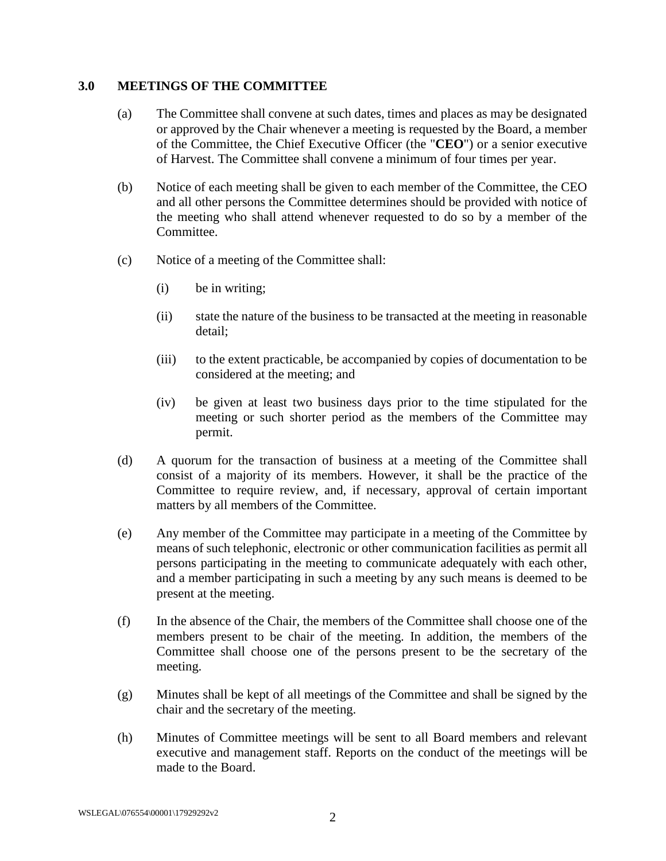#### **3.0 MEETINGS OF THE COMMITTEE**

- (a) The Committee shall convene at such dates, times and places as may be designated or approved by the Chair whenever a meeting is requested by the Board, a member of the Committee, the Chief Executive Officer (the "**CEO**") or a senior executive of Harvest. The Committee shall convene a minimum of four times per year.
- (b) Notice of each meeting shall be given to each member of the Committee, the CEO and all other persons the Committee determines should be provided with notice of the meeting who shall attend whenever requested to do so by a member of the Committee.
- (c) Notice of a meeting of the Committee shall:
	- (i) be in writing;
	- (ii) state the nature of the business to be transacted at the meeting in reasonable detail;
	- (iii) to the extent practicable, be accompanied by copies of documentation to be considered at the meeting; and
	- (iv) be given at least two business days prior to the time stipulated for the meeting or such shorter period as the members of the Committee may permit.
- (d) A quorum for the transaction of business at a meeting of the Committee shall consist of a majority of its members. However, it shall be the practice of the Committee to require review, and, if necessary, approval of certain important matters by all members of the Committee.
- (e) Any member of the Committee may participate in a meeting of the Committee by means of such telephonic, electronic or other communication facilities as permit all persons participating in the meeting to communicate adequately with each other, and a member participating in such a meeting by any such means is deemed to be present at the meeting.
- (f) In the absence of the Chair, the members of the Committee shall choose one of the members present to be chair of the meeting. In addition, the members of the Committee shall choose one of the persons present to be the secretary of the meeting.
- (g) Minutes shall be kept of all meetings of the Committee and shall be signed by the chair and the secretary of the meeting.
- (h) Minutes of Committee meetings will be sent to all Board members and relevant executive and management staff. Reports on the conduct of the meetings will be made to the Board.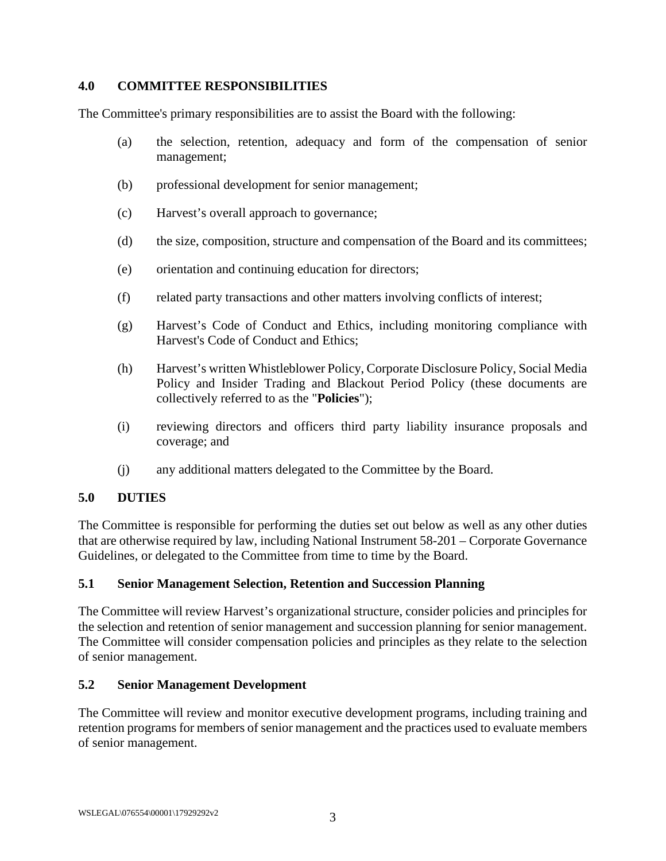### **4.0 COMMITTEE RESPONSIBILITIES**

The Committee's primary responsibilities are to assist the Board with the following:

- (a) the selection, retention, adequacy and form of the compensation of senior management;
- (b) professional development for senior management;
- (c) Harvest's overall approach to governance;
- (d) the size, composition, structure and compensation of the Board and its committees;
- (e) orientation and continuing education for directors;
- (f) related party transactions and other matters involving conflicts of interest;
- (g) Harvest's Code of Conduct and Ethics, including monitoring compliance with Harvest's Code of Conduct and Ethics;
- (h) Harvest's written Whistleblower Policy, Corporate Disclosure Policy, Social Media Policy and Insider Trading and Blackout Period Policy (these documents are collectively referred to as the "**Policies**");
- (i) reviewing directors and officers third party liability insurance proposals and coverage; and
- (j) any additional matters delegated to the Committee by the Board.

### **5.0 DUTIES**

The Committee is responsible for performing the duties set out below as well as any other duties that are otherwise required by law, including National Instrument 58-201 – Corporate Governance Guidelines, or delegated to the Committee from time to time by the Board.

#### **5.1 Senior Management Selection, Retention and Succession Planning**

The Committee will review Harvest's organizational structure, consider policies and principles for the selection and retention of senior management and succession planning for senior management. The Committee will consider compensation policies and principles as they relate to the selection of senior management.

#### **5.2 Senior Management Development**

The Committee will review and monitor executive development programs, including training and retention programs for members of senior management and the practices used to evaluate members of senior management.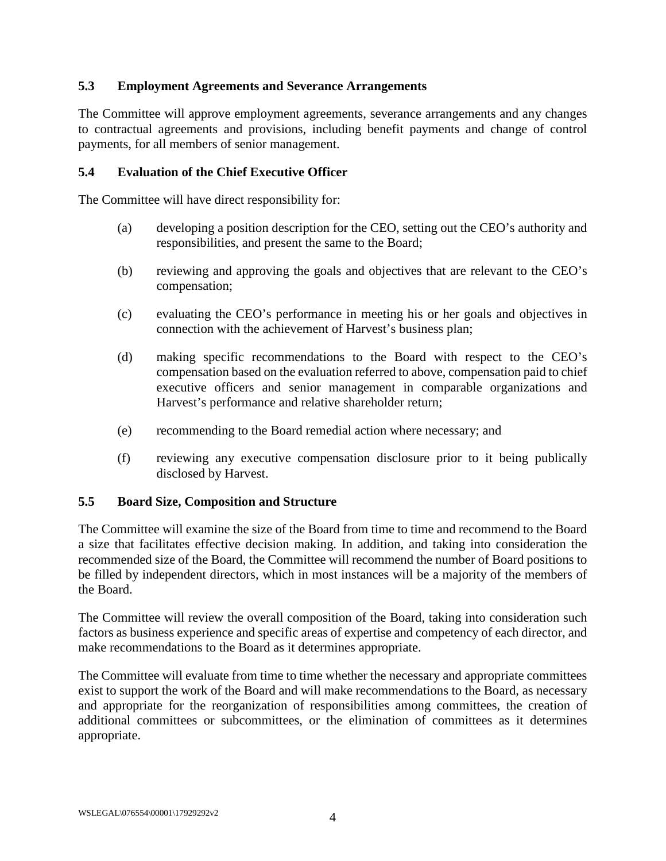### **5.3 Employment Agreements and Severance Arrangements**

The Committee will approve employment agreements, severance arrangements and any changes to contractual agreements and provisions, including benefit payments and change of control payments, for all members of senior management.

#### **5.4 Evaluation of the Chief Executive Officer**

The Committee will have direct responsibility for:

- (a) developing a position description for the CEO, setting out the CEO's authority and responsibilities, and present the same to the Board;
- (b) reviewing and approving the goals and objectives that are relevant to the CEO's compensation;
- (c) evaluating the CEO's performance in meeting his or her goals and objectives in connection with the achievement of Harvest's business plan;
- (d) making specific recommendations to the Board with respect to the CEO's compensation based on the evaluation referred to above, compensation paid to chief executive officers and senior management in comparable organizations and Harvest's performance and relative shareholder return;
- (e) recommending to the Board remedial action where necessary; and
- (f) reviewing any executive compensation disclosure prior to it being publically disclosed by Harvest.

#### **5.5 Board Size, Composition and Structure**

The Committee will examine the size of the Board from time to time and recommend to the Board a size that facilitates effective decision making. In addition, and taking into consideration the recommended size of the Board, the Committee will recommend the number of Board positions to be filled by independent directors, which in most instances will be a majority of the members of the Board.

The Committee will review the overall composition of the Board, taking into consideration such factors as business experience and specific areas of expertise and competency of each director, and make recommendations to the Board as it determines appropriate.

The Committee will evaluate from time to time whether the necessary and appropriate committees exist to support the work of the Board and will make recommendations to the Board, as necessary and appropriate for the reorganization of responsibilities among committees, the creation of additional committees or subcommittees, or the elimination of committees as it determines appropriate.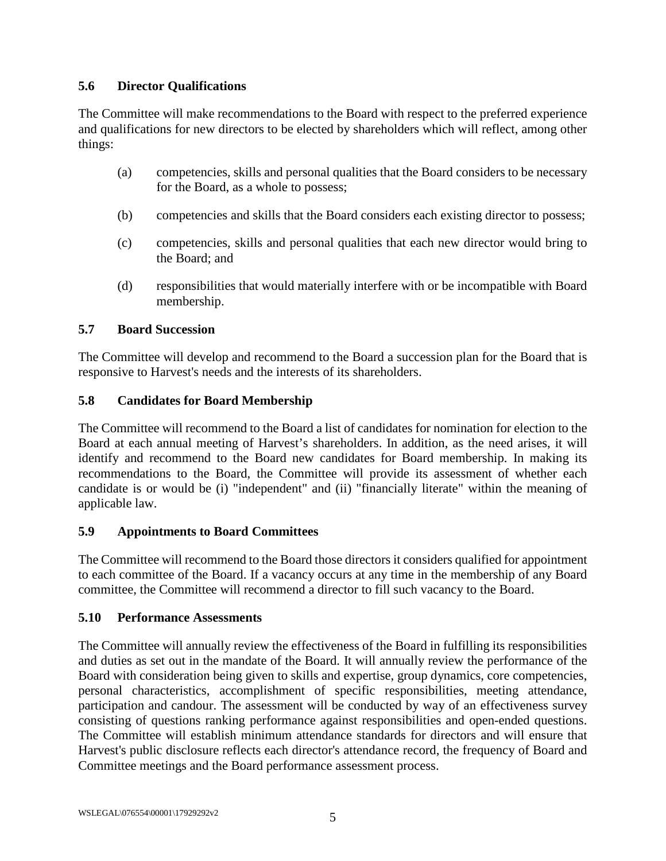### **5.6 Director Qualifications**

The Committee will make recommendations to the Board with respect to the preferred experience and qualifications for new directors to be elected by shareholders which will reflect, among other things:

- (a) competencies, skills and personal qualities that the Board considers to be necessary for the Board, as a whole to possess;
- (b) competencies and skills that the Board considers each existing director to possess;
- (c) competencies, skills and personal qualities that each new director would bring to the Board; and
- (d) responsibilities that would materially interfere with or be incompatible with Board membership.

### **5.7 Board Succession**

The Committee will develop and recommend to the Board a succession plan for the Board that is responsive to Harvest's needs and the interests of its shareholders.

### **5.8 Candidates for Board Membership**

The Committee will recommend to the Board a list of candidates for nomination for election to the Board at each annual meeting of Harvest's shareholders. In addition, as the need arises, it will identify and recommend to the Board new candidates for Board membership. In making its recommendations to the Board, the Committee will provide its assessment of whether each candidate is or would be (i) "independent" and (ii) "financially literate" within the meaning of applicable law.

### **5.9 Appointments to Board Committees**

The Committee will recommend to the Board those directors it considers qualified for appointment to each committee of the Board. If a vacancy occurs at any time in the membership of any Board committee, the Committee will recommend a director to fill such vacancy to the Board.

### **5.10 Performance Assessments**

The Committee will annually review the effectiveness of the Board in fulfilling its responsibilities and duties as set out in the mandate of the Board. It will annually review the performance of the Board with consideration being given to skills and expertise, group dynamics, core competencies, personal characteristics, accomplishment of specific responsibilities, meeting attendance, participation and candour. The assessment will be conducted by way of an effectiveness survey consisting of questions ranking performance against responsibilities and open-ended questions. The Committee will establish minimum attendance standards for directors and will ensure that Harvest's public disclosure reflects each director's attendance record, the frequency of Board and Committee meetings and the Board performance assessment process.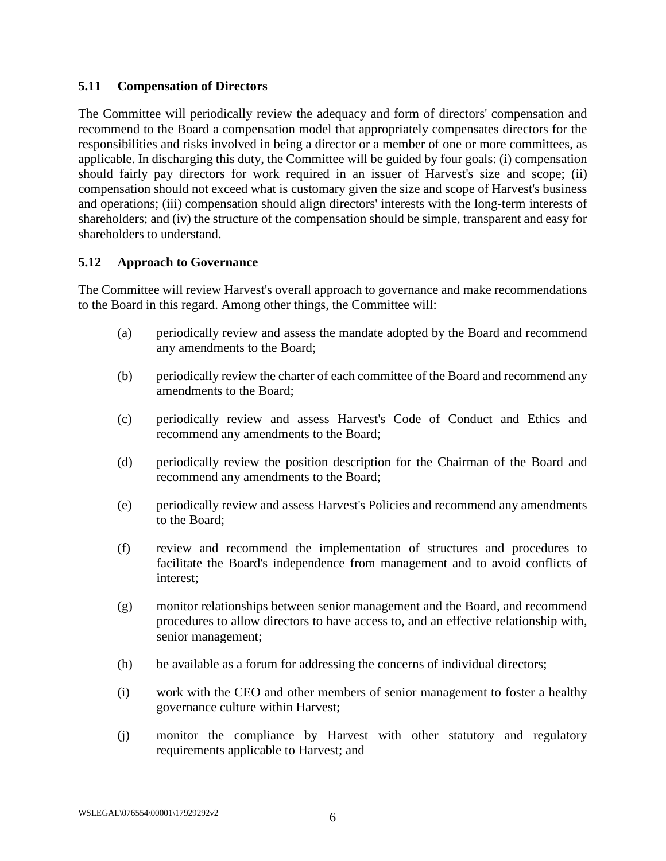### **5.11 Compensation of Directors**

The Committee will periodically review the adequacy and form of directors' compensation and recommend to the Board a compensation model that appropriately compensates directors for the responsibilities and risks involved in being a director or a member of one or more committees, as applicable. In discharging this duty, the Committee will be guided by four goals: (i) compensation should fairly pay directors for work required in an issuer of Harvest's size and scope; (ii) compensation should not exceed what is customary given the size and scope of Harvest's business and operations; (iii) compensation should align directors' interests with the long-term interests of shareholders; and (iv) the structure of the compensation should be simple, transparent and easy for shareholders to understand.

### **5.12 Approach to Governance**

The Committee will review Harvest's overall approach to governance and make recommendations to the Board in this regard. Among other things, the Committee will:

- (a) periodically review and assess the mandate adopted by the Board and recommend any amendments to the Board;
- (b) periodically review the charter of each committee of the Board and recommend any amendments to the Board;
- (c) periodically review and assess Harvest's Code of Conduct and Ethics and recommend any amendments to the Board;
- (d) periodically review the position description for the Chairman of the Board and recommend any amendments to the Board;
- (e) periodically review and assess Harvest's Policies and recommend any amendments to the Board;
- (f) review and recommend the implementation of structures and procedures to facilitate the Board's independence from management and to avoid conflicts of interest;
- (g) monitor relationships between senior management and the Board, and recommend procedures to allow directors to have access to, and an effective relationship with, senior management;
- (h) be available as a forum for addressing the concerns of individual directors;
- (i) work with the CEO and other members of senior management to foster a healthy governance culture within Harvest;
- (j) monitor the compliance by Harvest with other statutory and regulatory requirements applicable to Harvest; and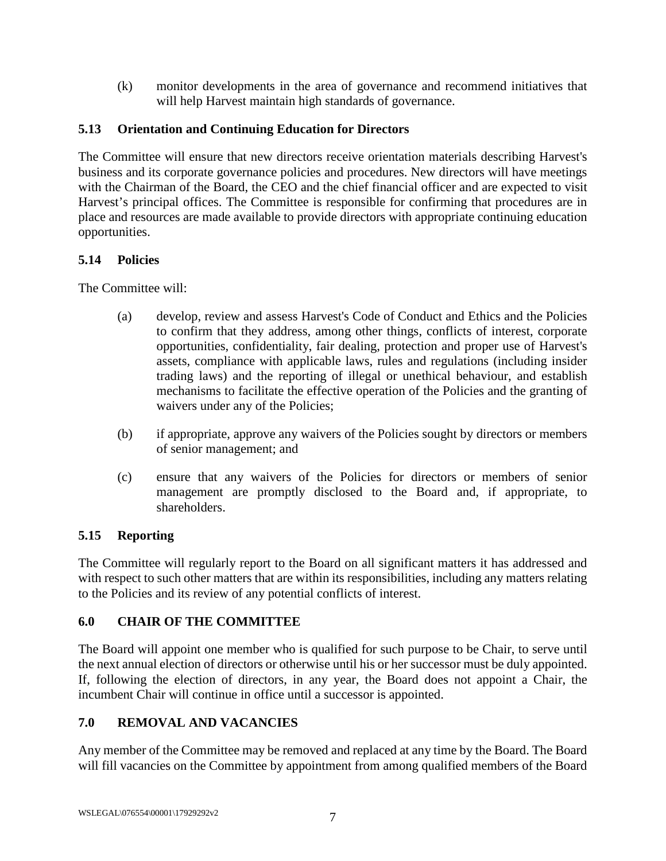(k) monitor developments in the area of governance and recommend initiatives that will help Harvest maintain high standards of governance.

# **5.13 Orientation and Continuing Education for Directors**

The Committee will ensure that new directors receive orientation materials describing Harvest's business and its corporate governance policies and procedures. New directors will have meetings with the Chairman of the Board, the CEO and the chief financial officer and are expected to visit Harvest's principal offices. The Committee is responsible for confirming that procedures are in place and resources are made available to provide directors with appropriate continuing education opportunities.

### **5.14 Policies**

The Committee will:

- (a) develop, review and assess Harvest's Code of Conduct and Ethics and the Policies to confirm that they address, among other things, conflicts of interest, corporate opportunities, confidentiality, fair dealing, protection and proper use of Harvest's assets, compliance with applicable laws, rules and regulations (including insider trading laws) and the reporting of illegal or unethical behaviour, and establish mechanisms to facilitate the effective operation of the Policies and the granting of waivers under any of the Policies;
- (b) if appropriate, approve any waivers of the Policies sought by directors or members of senior management; and
- (c) ensure that any waivers of the Policies for directors or members of senior management are promptly disclosed to the Board and, if appropriate, to shareholders.

# **5.15 Reporting**

The Committee will regularly report to the Board on all significant matters it has addressed and with respect to such other matters that are within its responsibilities, including any matters relating to the Policies and its review of any potential conflicts of interest.

# **6.0 CHAIR OF THE COMMITTEE**

The Board will appoint one member who is qualified for such purpose to be Chair, to serve until the next annual election of directors or otherwise until his or her successor must be duly appointed. If, following the election of directors, in any year, the Board does not appoint a Chair, the incumbent Chair will continue in office until a successor is appointed.

# **7.0 REMOVAL AND VACANCIES**

Any member of the Committee may be removed and replaced at any time by the Board. The Board will fill vacancies on the Committee by appointment from among qualified members of the Board